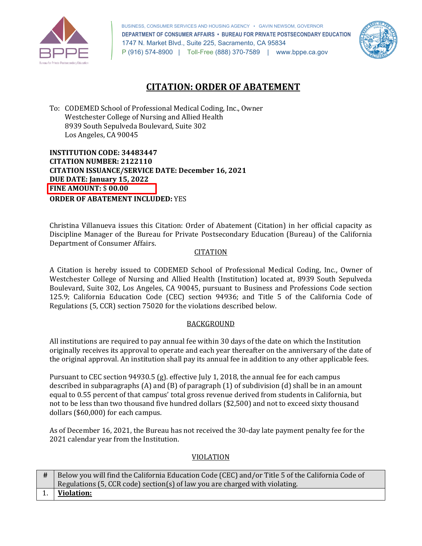

 BUSINESS, CONSUMER SERVICES AND HOUSING AGENCY • GAVIN NEWSOM, GOVERNOR  **DEPARTMENT OF CONSUMER AFFAIRS • BUREAU FOR PRIVATE POSTSECONDARY EDUCATION**  1747 N. Market Blvd., Suite 225, Sacramento, CA 95834 P (916) 574-8900 | Toll-Free (888) 370-7589 | <www.bppe.ca.gov>



# **CITATION: ORDER OF ABATEMENT**

 To: CODEMED School of Professional Medical Coding, Inc., Owner Westchester College of Nursing and Allied Health 8939 South Sepulveda Boulevard, Suite 302 Los Angeles, CA 90045

 **INSTITUTION CODE: 34483447 CITATION NUMBER: 2122110 CITATION ISSUANCE/SERVICE DATE: December 16, 2021 DUE DATE: January 15, 2022 FINE AMOUNT:** \$ **00.00 ORDER OF ABATEMENT INCLUDED:** YES

 Christina Villanueva issues this Citation: Order of Abatement (Citation) in her official capacity as Department of Consumer Affairs. Discipline Manager of the Bureau for Private Postsecondary Education (Bureau) of the California

# CITATION

 Westchester College of Nursing and Allied Health (Institution) located at, 8939 South Sepulveda 125.9; California Education Code (CEC) section 94936; and Title 5 of the California Code of Regulations (5, CCR) section 75020 for the violations described below. A Citation is hereby issued to CODEMED School of Professional Medical Coding, Inc., Owner of Boulevard, Suite 302, Los Angeles, CA 90045, pursuant to Business and Professions Code section

# **BACKGROUND**

 All institutions are required to pay annual fee within 30 days of the date on which the Institution originally receives its approval to operate and each year thereafter on the anniversary of the date of the original approval. An institution shall pay its annual fee in addition to any other applicable fees.

 Pursuant to CEC section 94930.5 (g). effective July 1, 2018, the annual fee for each campus described in subparagraphs (A) and (B) of paragraph (1) of subdivision (d) shall be in an amount equal to 0.55 percent of that campus' total gross revenue derived from students in California, but not to be less than two thousand five hundred dollars (\$2,500) and not to exceed sixty thousand dollars (\$60,000) for each campus.

 As of December 16, 2021, the Bureau has not received the 30-day late payment penalty fee for the 2021 calendar year from the Institution.

### VIOLATION

| <sup>#</sup> Below you will find the California Education Code (CEC) and/or Title 5 of the California Code of |
|---------------------------------------------------------------------------------------------------------------|
| Regulations (5, CCR code) section(s) of law you are charged with violating.                                   |
| 1. Violation:                                                                                                 |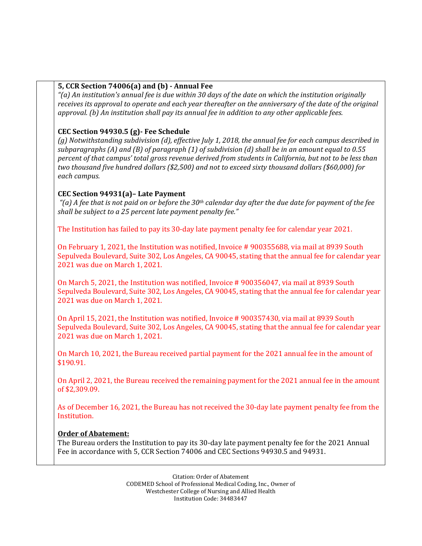# **5, CCR Section 74006(a) and (b) - Annual Fee**

 *"(a) An institution's annual fee is due within 30 days of the date on which the institution originally receives its approval to operate and each year thereafter on the anniversary of the date of the original approval. (b) An institution shall pay its annual fee in addition to any other applicable fees.* 

# **CEC Section 94930.5 (g)- Fee Schedule**

 *(g) Notwithstanding subdivision (d), effective July 1, 2018, the annual fee for each campus described in subparagraphs (A) and (B) of paragraph (1) of subdivision (d) shall be in an amount equal to 0.55 percent of that campus' total gross revenue derived from students in California, but not to be less than two thousand five hundred dollars (\$2,500) and not to exceed sixty thousand dollars (\$60,000) for each campus.* 

# **CEC Section 94931(a)– Late Payment**

 *"(a) A fee that is not paid on or before the 30th calendar day after the due date for payment of the fee shall be subject to a 25 percent late payment penalty fee."* 

The Institution has failed to pay its 30-day late payment penalty fee for calendar year 2021.

 On February 1, 2021, the Institution was notified, Invoice # 900355688, via mail at 8939 South Sepulveda Boulevard, Suite 302, Los Angeles, CA 90045, stating that the annual fee for calendar year 2021 was due on March 1, 2021.

 On March 5, 2021, the Institution was notified, Invoice # 900356047, via mail at 8939 South Sepulveda Boulevard, Suite 302, Los Angeles, CA 90045, stating that the annual fee for calendar year 2021 was due on March 1, 2021.

 On April 15, 2021, the Institution was notified, Invoice # 900357430, via mail at 8939 South Sepulveda Boulevard, Suite 302, Los Angeles, CA 90045, stating that the annual fee for calendar year 2021 was due on March 1, 2021.

 On March 10, 2021, the Bureau received partial payment for the 2021 annual fee in the amount of \$190.91.

 On April 2, 2021, the Bureau received the remaining payment for the 2021 annual fee in the amount of [\\$2,309.09](https://2,309.09).

 As of December 16, 2021, the Bureau has not received the 30-day late payment penalty fee from the Institution.

### **Order of Abatement:**

 The Bureau orders the Institution to pay its 30-day late payment penalty fee for the 2021 Annual Fee in accordance with 5, CCR Section 74006 and CEC Sections 94930.5 and 94931.

> CODEMED School of Professional Medical Coding, Inc., Owner of Citation: Order of Abatement Westchester College of Nursing and Allied Health Institution Code: 34483447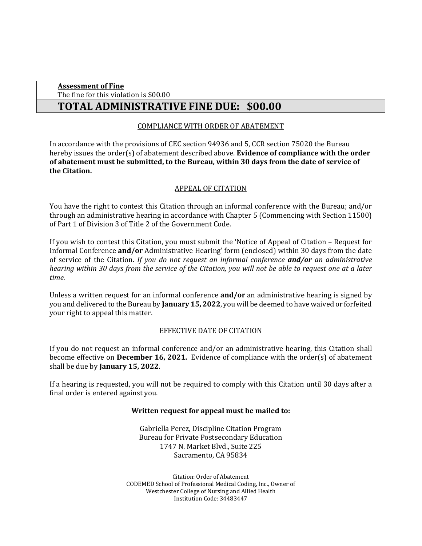| <b>Assessment of Fine</b>                     |  |
|-----------------------------------------------|--|
| The fine for this violation is \$00.00        |  |
| <b>TOTAL ADMINISTRATIVE FINE DUE: \$00.00</b> |  |

# COMPLIANCE WITH ORDER OF ABATEMENT

 In accordance with the provisions of CEC section 94936 and 5, CCR section 75020 the Bureau hereby issues the order(s) of abatement described above. **Evidence of compliance with the order of abatement must be submitted, to the Bureau, within 30 days from the date of service of the Citation.** 

# APPEAL OF CITATION

 You have the right to contest this Citation through an informal conference with the Bureau; and/or through an administrative hearing in accordance with Chapter 5 (Commencing with Section 11500) of Part 1 of Division 3 of Title 2 of the Government Code.

 If you wish to contest this Citation, you must submit the 'Notice of Appeal of Citation – Request for  *hearing within 30 days from the service of the Citation, you will not be able to request one at a later*  Informal Conference **and/or** Administrative Hearing' form (enclosed) within 30 days from the date of service of the Citation. *If you do not request an informal conference and/or an administrative time.* 

 Unless a written request for an informal conference **and/or** an administrative hearing is signed by you and delivered to the Bureau by **January 15, 2022**, you will be deemed to have waived or forfeited your right to appeal this matter.

#### EFFECTIVE DATE OF CITATION

 become effective on **December 16, 2021.** Evidence of compliance with the order(s) of abatement shall be due by **January 15, 2022**. If you do not request an informal conference and/or an administrative hearing, this Citation shall

 If a hearing is requested, you will not be required to comply with this Citation until 30 days after a final order is entered against you.

### **Written request for appeal must be mailed to:**

 Gabriella Perez, Discipline Citation Program Bureau for Private Postsecondary Education 1747 N. Market Blvd., Suite 225 Sacramento, CA 95834

 CODEMED School of Professional Medical Coding, Inc., Owner of Citation: Order of Abatement Westchester College of Nursing and Allied Health Institution Code: 34483447